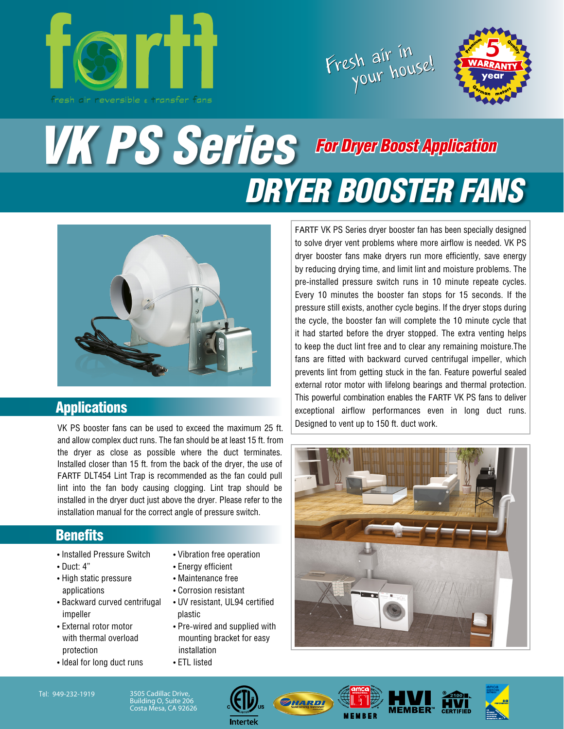





# *VK PS Series DRYER BOOSTER FANS For Dryer Boost Application*



#### **Applications**

VK PS booster fans can be used to exceed the maximum 25 ft. and allow complex duct runs. The fan should be at least 15 ft. from the dryer as close as possible where the duct terminates. Installed closer than 15 ft. from the back of the dryer, the use of FARTF DLT454 Lint Trap is recommended as the fan could pull lint into the fan body causing clogging. Lint trap should be installed in the dryer duct just above the dryer. Please refer to the installation manual for the correct angle of pressure switch.

#### **Benefits**

- Installed Pressure Switch
- Duct: 4"
- High static pressure applications
- Backward curved centrifugal impeller
- External rotor motor with thermal overload protection
- Ideal for long duct runs
- Vibration free operation
- Energy efficient
- Maintenance free
- Corrosion resistant
- UV resistant, UL94 certified plastic
- Pre-wired and supplied with mounting bracket for easy installation
- ETL listed

FARTF VK PS Series dryer booster fan has been specially designed to solve dryer vent problems where more airflow is needed. VK PS dryer booster fans make dryers run more efficiently, save energy by reducing drying time, and limit lint and moisture problems. The pre-installed pressure switch runs in 10 minute repeate cycles. Every 10 minutes the booster fan stops for 15 seconds. If the pressure still exists, another cycle begins. If the dryer stops during the cycle, the booster fan will complete the 10 minute cycle that it had started before the dryer stopped. The extra venting helps to keep the duct lint free and to clear any remaining moisture.The fans are fitted with backward curved centrifugal impeller, which prevents lint from getting stuck in the fan. Feature powerful sealed external rotor motor with lifelong bearings and thermal protection. This powerful combination enables the FARTF VK PS fans to deliver exceptional airflow performances even in long duct runs. Designed to vent up to 150 ft. duct work.





Building O, Suite 206 Costa Mesa, CA 92626